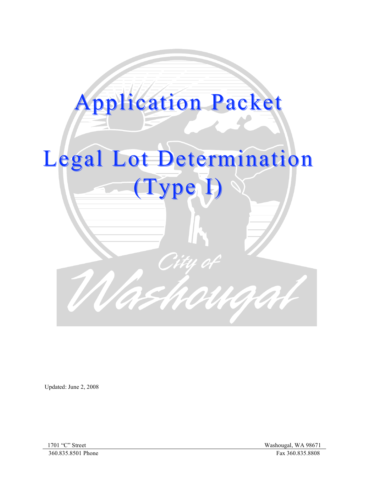

Updated: June 2, 2008

1701 "C" Street Washougal, WA 98671 360.835.8501 Phone Fax 360.835.8808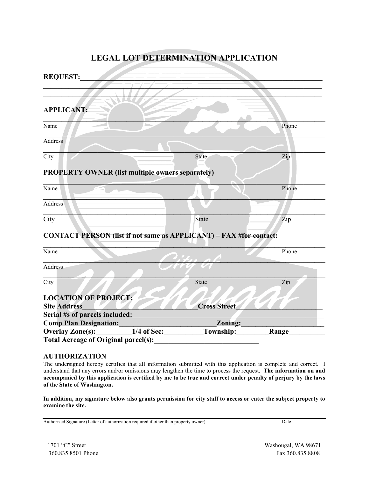| <b>REQUEST:</b>                                                           |                            |       |
|---------------------------------------------------------------------------|----------------------------|-------|
|                                                                           |                            |       |
| <b>APPLICANT:</b>                                                         |                            |       |
| Name                                                                      |                            | Phone |
| <b>Address</b>                                                            |                            |       |
| City                                                                      | <b>State</b>               | Zip   |
| <b>PROPERTY OWNER (list multiple owners separately)</b>                   |                            |       |
| Name                                                                      |                            | Phone |
| Address                                                                   |                            |       |
| City                                                                      | <b>State</b>               | Zip   |
| <b>CONTACT PERSON (list if not same as APPLICANT) - FAX #for contact:</b> |                            |       |
| Name                                                                      |                            | Phone |
| Address                                                                   |                            |       |
| City                                                                      | <b>State</b>               | Zip   |
| <b>LOCATION OF PROJECT:</b><br><b>Site Address</b>                        | <b>Cross Street</b>        |       |
| Serial #s of parcels included:                                            |                            |       |
| <b>Comp Plan Designation:</b>                                             | <b>Zoning:</b>             |       |
| <b>Overlay Zone(s):</b>                                                   | Township:<br>$1/4$ of Sec: | Range |
| <b>Total Acreage of Original parcel(s):</b>                               |                            |       |

## **LEGAL LOT DETERMINATION APPLICATION**

## **AUTHORIZATION**

The undersigned hereby certifies that all information submitted with this application is complete and correct. I understand that any errors and/or omissions may lengthen the time to process the request. **The information on and accompanied by this application is certified by me to be true and correct under penalty of perjury by the laws of the State of Washington.**

**In addition, my signature below also grants permission for city staff to access or enter the subject property to examine the site.** 

Authorized Signature (Letter of authorization required if other than property owner) Date

1701 "C" Street Washougal, WA 98671 360.835.8501 Phone Fax 360.835.8808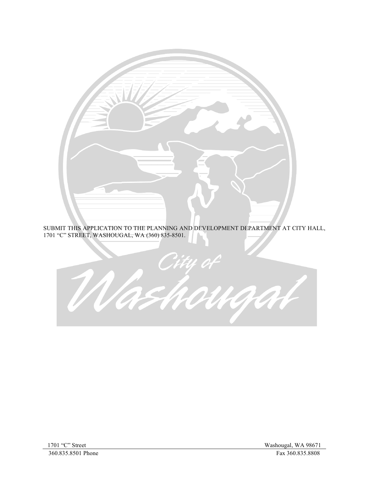

SUBMIT THIS APPLICATION TO THE PLANNING AND DEVELOPMENT DEPARTMENT AT CITY HALL, 1701 "C" STREET, WASHOUGAL, WA (360) 835-8501.

Mashouaal



1701 "C" Street Washougal, WA 98671 360.835.8501 Phone Fax 360.835.8808